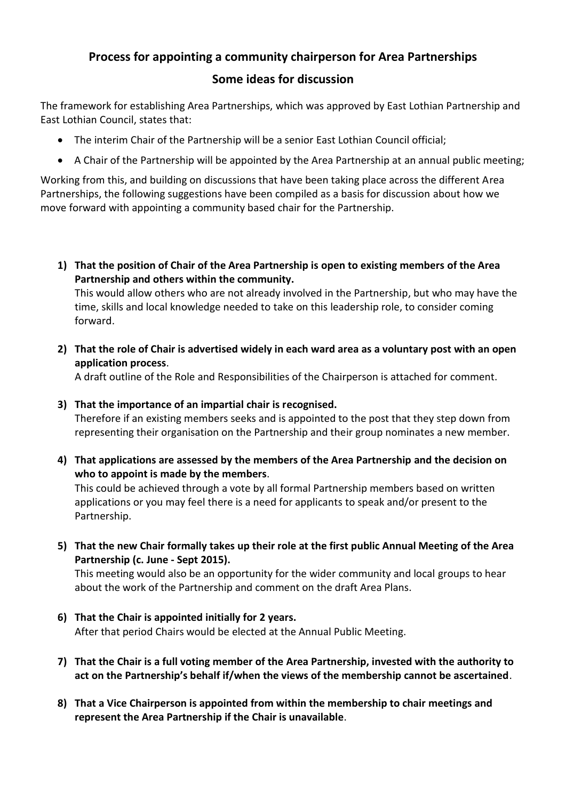# **Process for appointing a community chairperson for Area Partnerships**

# **Some ideas for discussion**

The framework for establishing Area Partnerships, which was approved by East Lothian Partnership and East Lothian Council, states that:

- The interim Chair of the Partnership will be a senior East Lothian Council official;
- A Chair of the Partnership will be appointed by the Area Partnership at an annual public meeting;

Working from this, and building on discussions that have been taking place across the different Area Partnerships, the following suggestions have been compiled as a basis for discussion about how we move forward with appointing a community based chair for the Partnership.

**1) That the position of Chair of the Area Partnership is open to existing members of the Area Partnership and others within the community.**

This would allow others who are not already involved in the Partnership, but who may have the time, skills and local knowledge needed to take on this leadership role, to consider coming forward.

**2) That the role of Chair is advertised widely in each ward area as a voluntary post with an open application process**.

A draft outline of the Role and Responsibilities of the Chairperson is attached for comment.

**3) That the importance of an impartial chair is recognised.** 

Therefore if an existing members seeks and is appointed to the post that they step down from representing their organisation on the Partnership and their group nominates a new member.

**4) That applications are assessed by the members of the Area Partnership and the decision on who to appoint is made by the members**.

This could be achieved through a vote by all formal Partnership members based on written applications or you may feel there is a need for applicants to speak and/or present to the Partnership.

**5) That the new Chair formally takes up their role at the first public Annual Meeting of the Area Partnership (c. June - Sept 2015).**

This meeting would also be an opportunity for the wider community and local groups to hear about the work of the Partnership and comment on the draft Area Plans.

- **6) That the Chair is appointed initially for 2 years.** After that period Chairs would be elected at the Annual Public Meeting.
- **7) That the Chair is a full voting member of the Area Partnership, invested with the authority to act on the Partnership's behalf if/when the views of the membership cannot be ascertained**.
- **8) That a Vice Chairperson is appointed from within the membership to chair meetings and represent the Area Partnership if the Chair is unavailable**.